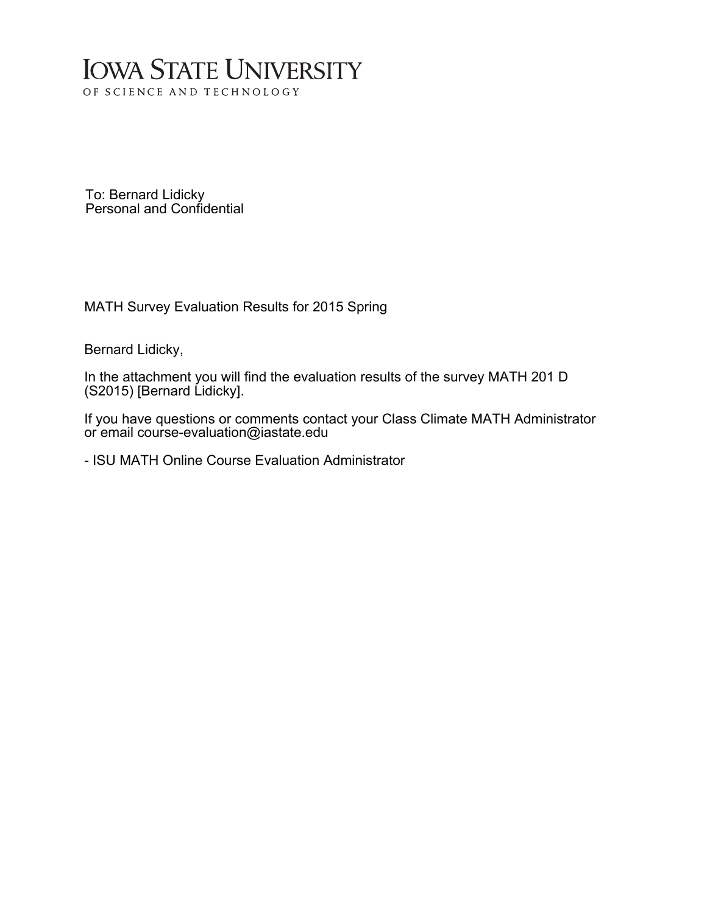## **IOWA STATE UNIVERSITY** OF SCIENCE AND TECHNOLOGY

To: Bernard Lidicky Personal and Confidential

MATH Survey Evaluation Results for 2015 Spring

Bernard Lidicky,

In the attachment you will find the evaluation results of the survey MATH 201 D (S2015) [Bernard Lidicky].

If you have questions or comments contact your Class Climate MATH Administrator or email course-evaluation@iastate.edu

- ISU MATH Online Course Evaluation Administrator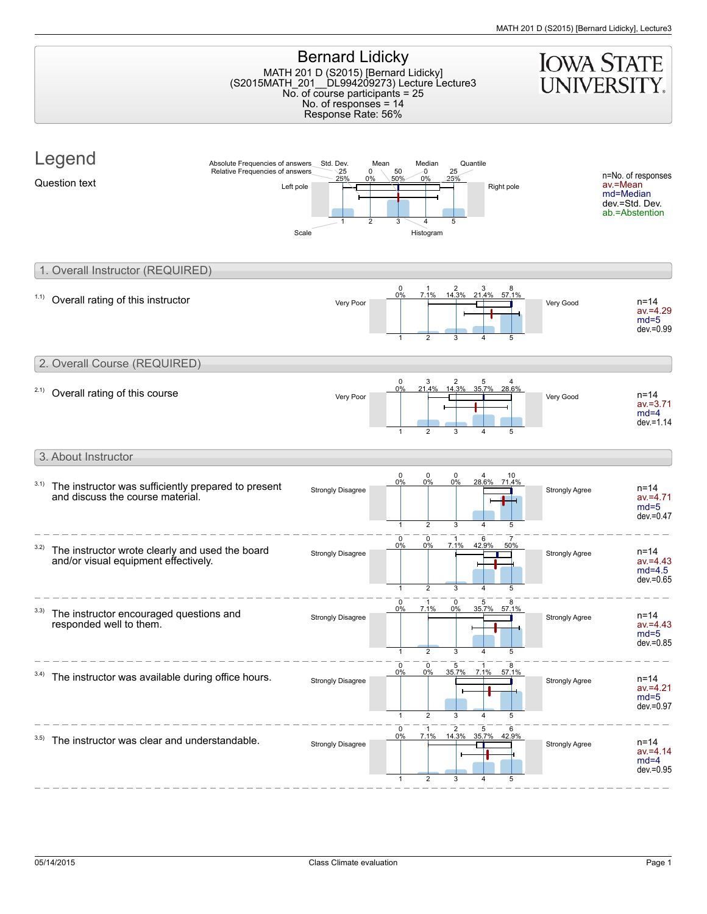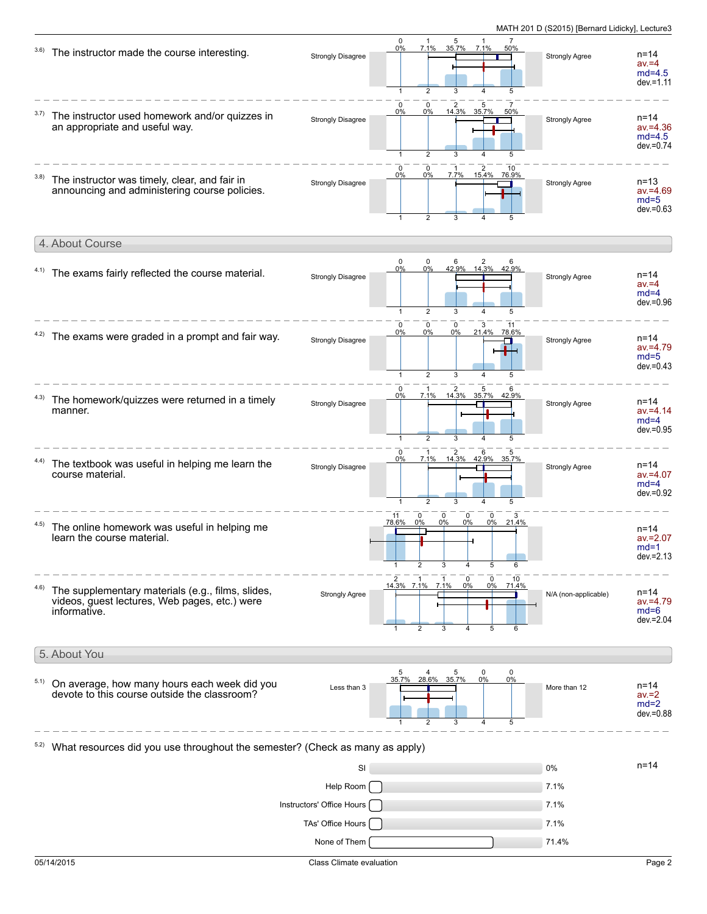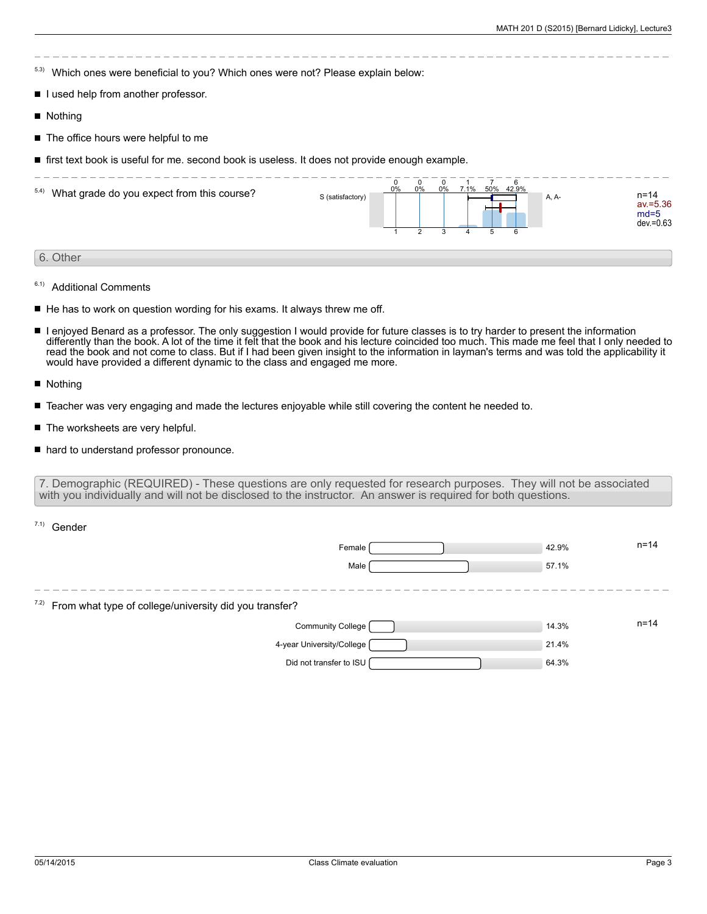5.3) Which ones were beneficial to you? Which ones were not? Please explain below:

- I lused help from another professor.
- **Nothing**
- The office hours were helpful to me
- **first text book is useful for me. second book is useless. It does not provide enough example.**

| 5.4) What grade do you expect from this course? | S (satisfactory) | 0% | $\Omega$<br>0% | 0% | 7.1% | 50% | 6<br>42.9%<br>6 | A, A- | n=14<br>av.=5.36<br>$md=5$<br>$dev = 0.63$ |
|-------------------------------------------------|------------------|----|----------------|----|------|-----|-----------------|-------|--------------------------------------------|
| 6. Other                                        |                  |    |                |    |      |     |                 |       |                                            |

- 6.1) Additional Comments
- $\blacksquare$  He has to work on question wording for his exams. It always threw me off.
- $\blacksquare$ I enjoyed Benard as a professor. The only suggestion I would provide for future classes is to try harder to present the information differently than the book. A lot of the time it felt that the book and his lecture coincided too much. This made me feel that I only needed to read the book and not come to class. But if I had been given insight to the information in layman's terms and was told the applicability it would have provided a different dynamic to the class and engaged me more.
- Nothing

 $7.1)$  Condor

- Teacher was very engaging and made the lectures enjoyable while still covering the content he needed to.
- The worksheets are very helpful.  $\blacksquare$
- hard to understand professor pronounce.

7. Demographic (REQUIRED) - These questions are only requested for research purposes. They will not be associated with you individually and will not be disclosed to the instructor. An answer is required for both questions.

| <b>UUITUU</b>                                                  |       |          |
|----------------------------------------------------------------|-------|----------|
| Female                                                         | 42.9% | $n = 14$ |
| Male                                                           | 57.1% |          |
|                                                                |       |          |
| $7.2$ ) From what type of college/university did you transfer? |       |          |
| Community College [                                            | 14.3% | $n = 14$ |
| 4-year University/College [                                    | 21.4% |          |
| Did not transfer to ISU                                        | 64.3% |          |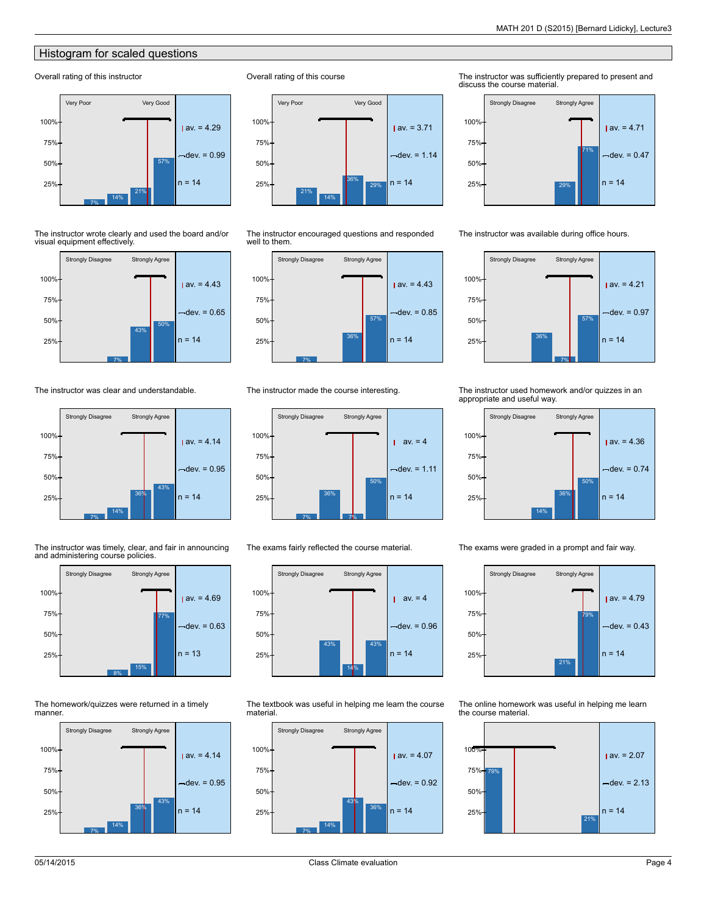## Histogram for scaled questions

## Overall rating of this instructor



The instructor wrote clearly and used the board and/or visual equipment effectively.



The instructor was clear and understandable.



The instructor was timely, clear, and fair in announcing and administering course policies.



The homework/quizzes were returned in a timely manner.





Overall rating of this course

The instructor encouraged questions and responded well to them.



The instructor made the course interesting.



The exams fairly reflected the course material.



The textbook was useful in helping me learn the course material.



The instructor was sufficiently prepared to present and discuss the course material.



The instructor was available during office hours.



## The instructor used homework and/or quizzes in an appropriate and useful way.



The exams were graded in a prompt and fair way.



The online homework was useful in helping me learn the course material.

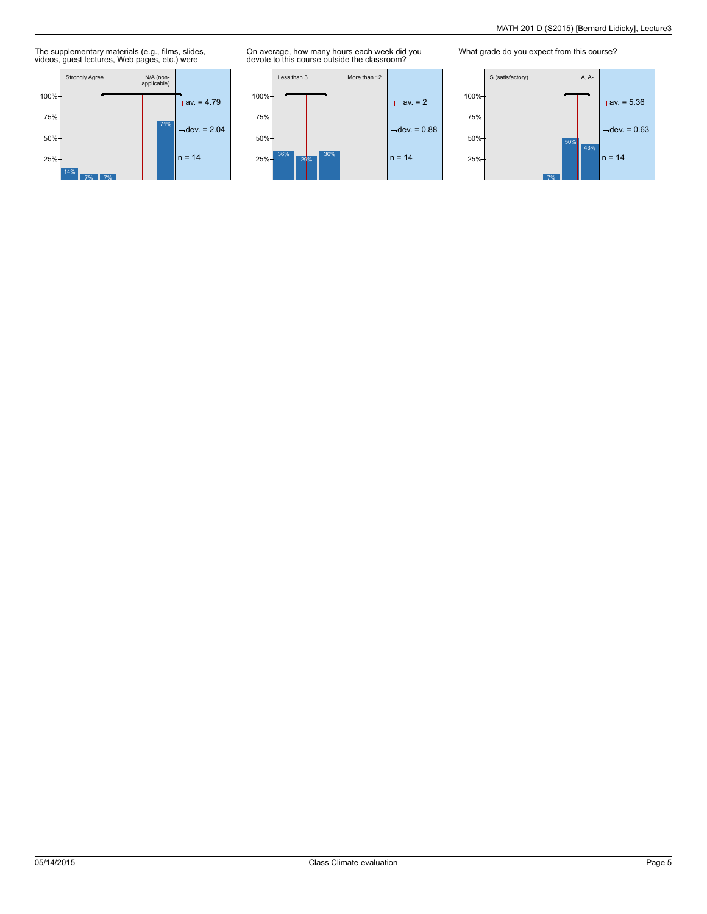The supplementary materials (e.g., films, slides, videos, guest lectures, Web pages, etc.) were



On average, how many hours each week did you devote to this course outside the classroom?



What grade do you expect from this course?

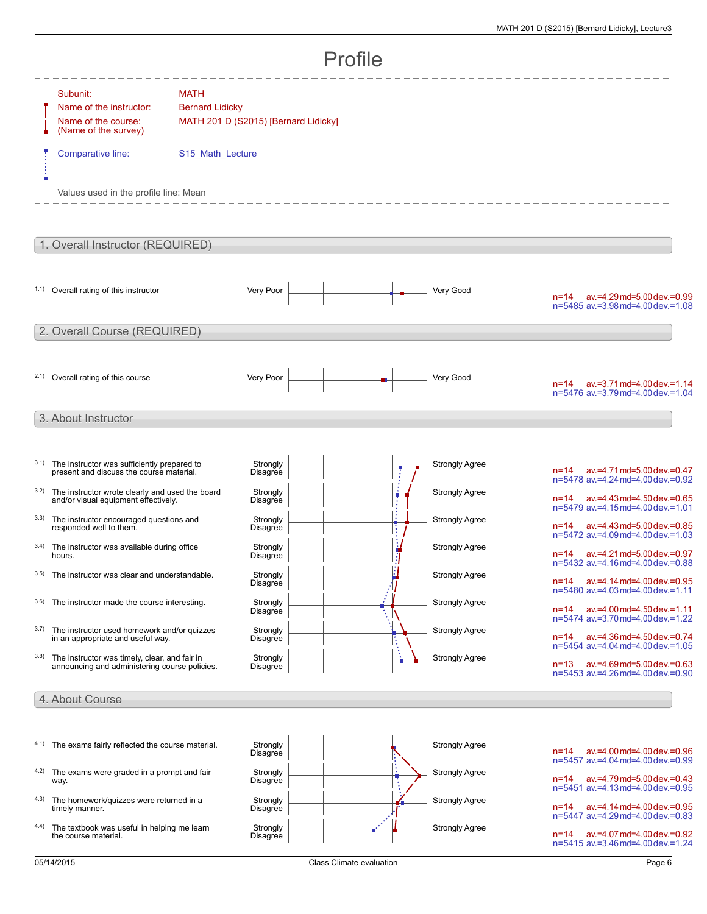|      | Profile                                                                                        |                                                                               |                      |  |  |  |    |                       |                                                                                  |
|------|------------------------------------------------------------------------------------------------|-------------------------------------------------------------------------------|----------------------|--|--|--|----|-----------------------|----------------------------------------------------------------------------------|
|      | Subunit:<br>Name of the instructor:<br>Name of the course:<br>(Name of the survey)             | <b>MATH</b><br><b>Bernard Lidicky</b><br>MATH 201 D (S2015) [Bernard Lidicky] |                      |  |  |  |    |                       |                                                                                  |
|      | Comparative line:<br>Values used in the profile line: Mean                                     | S15_Math_Lecture                                                              |                      |  |  |  |    |                       |                                                                                  |
|      |                                                                                                |                                                                               |                      |  |  |  |    |                       |                                                                                  |
|      | 1. Overall Instructor (REQUIRED)                                                               |                                                                               |                      |  |  |  |    |                       |                                                                                  |
|      | 1.1) Overall rating of this instructor                                                         |                                                                               | Very Poor            |  |  |  |    | Very Good             | ay.=4.29 md=5.00 dev.=0.99<br>$n = 14$<br>n=5485 av.=3.98 md=4.00 dev.=1.08      |
|      | 2. Overall Course (REQUIRED)                                                                   |                                                                               |                      |  |  |  |    |                       |                                                                                  |
|      | 2.1) Overall rating of this course                                                             |                                                                               | Very Poor            |  |  |  |    | Very Good             | $av = 3.71$ md=4.00 dev. = 1.14<br>$n = 14$<br>n=5476 av.=3.79 md=4.00 dev.=1.04 |
|      | 3. About Instructor                                                                            |                                                                               |                      |  |  |  |    |                       |                                                                                  |
|      | 3.1) The instructor was sufficiently prepared to<br>present and discuss the course material.   |                                                                               | Strongly<br>Disagree |  |  |  |    | <b>Strongly Agree</b> | av.=4.71 md=5.00 dev.=0.47<br>$n = 14$<br>n=5478 av.=4.24 md=4.00 dev.=0.92      |
| 3.2) | The instructor wrote clearly and used the board<br>and/or visual equipment effectively.        |                                                                               | Strongly<br>Disagree |  |  |  |    | <b>Strongly Agree</b> | av.=4.43 md=4.50 dev.=0.65<br>$n = 14$<br>n=5479 av.=4.15 md=4.00 dev.=1.01      |
|      | 3.3) The instructor encouraged questions and<br>responded well to them.                        |                                                                               | Strongly<br>Disagree |  |  |  | ŧ. | <b>Strongly Agree</b> | av.=4.43 md=5.00 dev.=0.85<br>n=14<br>n=5472 av.=4.09 md=4.00 dev.=1.03          |
| 3.4) | The instructor was available during office<br>hours.                                           |                                                                               | Strongly<br>Disagree |  |  |  |    | <b>Strongly Agree</b> | n=14 av.=4.21 md=5.00 dev.=0.97<br>n=5432 av.=4.16 md=4.00 dev.=0.88             |
|      | 3.5) The instructor was clear and understandable.                                              |                                                                               | Strongly<br>Disagree |  |  |  |    | <b>Strongly Agree</b> | av.=4.14 md=4.00 dev.=0.95<br>$n = 14$<br>n=5480 av.=4.03 md=4.00 dev.=1.11      |
|      | 3.6) The instructor made the course interesting.                                               |                                                                               | Strongly<br>Disagree |  |  |  |    | <b>Strongly Agree</b> | $av = 4.00$ md=4.50 dev. = 1.11<br>$n = 14$<br>n=5474 av.=3.70 md=4.00 dev.=1.22 |
| 3.7) | The instructor used homework and/or quizzes<br>in an appropriate and useful way.               |                                                                               | Strongly<br>Disagree |  |  |  |    | <b>Strongly Agree</b> | ay.=4.36 md=4.50 dev.=0.74<br>$n = 14$<br>n=5454 av.=4.04 md=4.00 dev.=1.05      |
| 3.8) | The instructor was timely, clear, and fair in<br>announcing and administering course policies. |                                                                               | Strongly<br>Disagree |  |  |  |    | <b>Strongly Agree</b> | ay.=4.69 md=5.00 dev.=0.63<br>$n = 13$<br>n=5453 av.=4.26 md=4.00 dev.=0.90      |
|      | 4. About Course                                                                                |                                                                               |                      |  |  |  |    |                       |                                                                                  |
| 4.1) | The exams fairly reflected the course material.                                                |                                                                               | Strongly<br>Disagree |  |  |  |    | <b>Strongly Agree</b> | ay.=4.00 md=4.00 dev.=0.96<br>$n = 14$<br>n=5457 av.=4.04 md=4.00 dev.=0.99      |
| 4.2) | The exams were graded in a prompt and fair<br>way.                                             |                                                                               | Strongly<br>Disagree |  |  |  |    | <b>Strongly Agree</b> | av.=4.79 md=5.00 dev.=0.43<br>$n = 14$<br>n=5451 av.=4.13 md=4.00 dev.=0.95      |
| 4.3) | The homework/quizzes were returned in a<br>timely manner.                                      |                                                                               | Strongly<br>Disagree |  |  |  |    | <b>Strongly Agree</b> | av.=4.14 md=4.00 dev.=0.95<br>n=14<br>n=5447 av.=4.29 md=4.00 dev.=0.83          |

4.4) The textbook was useful in helping me learn the course material.



n=5447 av.=4.29md=4.00 dev.=0.83

n=14 av.=4.07md=4.00 dev.=0.92 n=5415 av.=3.46md=4.00 dev.=1.24